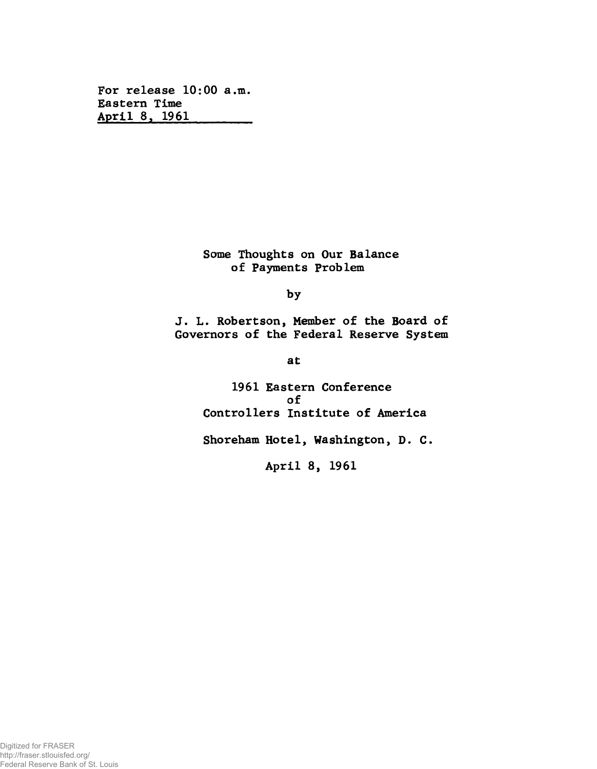**For release 10:00 a.m. Eastern Time April 8, 1961\_\_\_\_\_\_\_\_**

> **Some Thoughts on Our Balance of Payments Problem**

> > **by**

**J. L. Robertson, Member of the Board of Governors of the Federal Reserve System**

**at**

**1961 Eastern Conference of Controllers Institute of America**

**Shoreham Hotel, Washington, D. C.**

**April 8, 1961**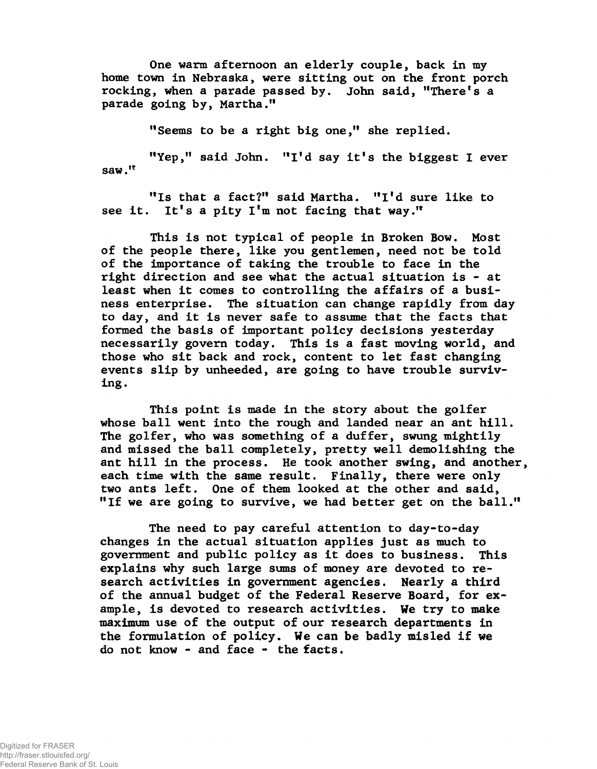**One warm afternoon an elderly couple, back in my home town in Nebraska, were sitting out on the front porch rocking, when a parade passed by. John said, ''There's a parade going by, Martha."**

**"Seems to be a right big one," she replied.**

**"Yep," said John. "I'd say it's the biggest I ever saw."**

**"Is that a fact?" said Martha. "I'd sure like to see it. It's a pity I'm not facing that way."**

**This is not typical of people in Broken Bow. Most of the people there, like you gentlemen, need not be told of the importance of taking the trouble to face in the right direction and see what the actual situation is - at least when it comes to controlling the affairs of a business enterprise. The situation can change rapidly from day to day, and it is never safe to assume that the facts that formed the basis of important policy decisions yesterday necessarily govern today. This is a fast moving world, and those who sit back and rock, content to let fast changing events slip by unheeded, are going to have trouble surviving.**

**This point is made in the story about the golfer whose ball went into the rough and landed near an ant hill. The golfer, who was something of a duffer, swung mightily and missed the ball completely, pretty well demolishing the ant hill in the process. He took another swing, and another, each time with the same result. Finally, there were only two ants left. One of them looked at the other and said, "If we are going to survive, we had better get on the ball."**

**The need to pay careful attention to day-to-day changes in the actual situation applies just as much to government and public policy as it does to business. This explains why such large sums of money are devoted to research activities in government agencies. Nearly a third of the annual budget of the Federal Reserve Board, for example, is devoted to research activities. We try to make maximum use of the output of our research departments in the formulation of policy. We can be badly misled if we do not know - and face - the facts.**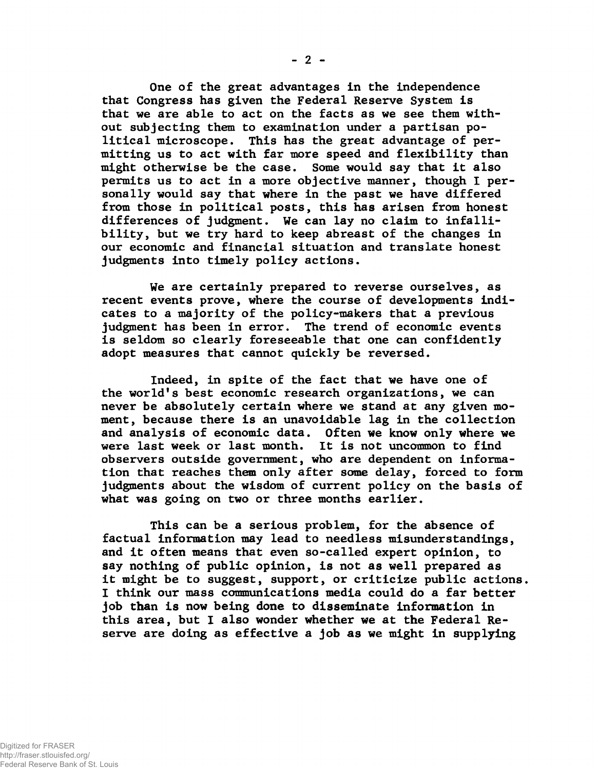**One of the great advantages in the independence that Congress has given the Federal Reserve System is that we are able to act on the facts as we see them without subjecting them to examination under a partisan political microscope. This has the great advantage of permitting us to act with far more speed and flexibility than might otherwise be the case. Some would say that it also permits us to act in a more objective manner, though I personally would say that where in the past we have differed from those in political posts, this has arisen from honest differences of judgment. We can lay no claim to infallibility, but we try hard to keep abreast of the changes in our economic and financial situation and translate honest judgments into timely policy actions.**

**We are certainly prepared to reverse ourselves, as recent events prove, where the course of developments indicates to a majority of the policy-makers that a previous judgment has been in error. The trend of economic events is seldom so clearly foreseeable that one can confidently adopt measures that cannot quickly be reversed.**

**Indeed, in spite of the fact that we have one of the world's best economic research organizations, we can never be absolutely certain where we stand at any given moment, because there is an unavoidable lag in the collection and analysis of economic data. Often we know only where we were last week or last month. It is not uncommon to find observers outside government, who are dependent on information that reaches them only after some delay, forced to form judgments about the wisdom of current policy on the basis of what was going on two or three months earlier.**

**This can be a serious problem, for the absence of factual information may lead to needless misunderstandings, and it often means that even so-called expert opinion, to say nothing of public opinion, is not as well prepared as it might be to suggest, support, or criticize public actions. I think our mass communications media could do a far better job than is now being done to disseminate information in this area, but I also wonder whether we at the Federal Reserve are doing as effective a job as we might in supplying**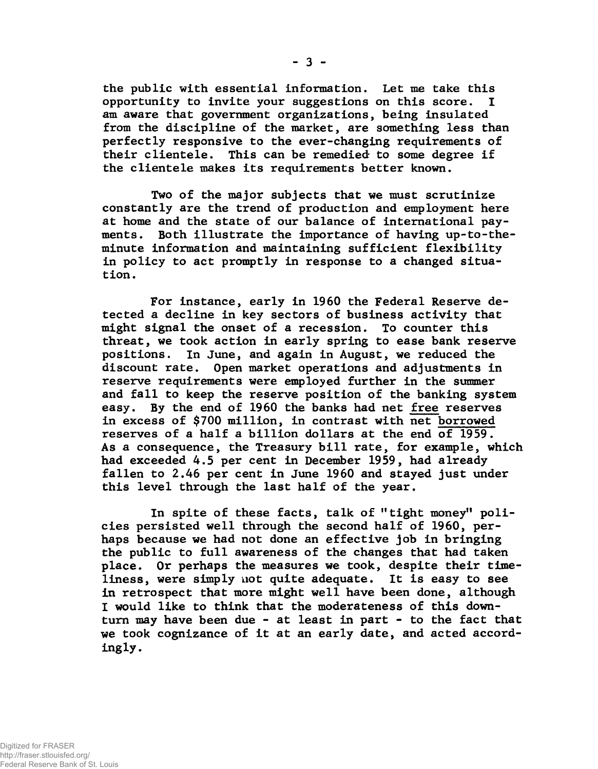**the public with essential information. Let me take this opportunity to invite your suggestions on this score. I am aware that government organizations, being insulated from the discipline of the market, are something less than perfectly responsive to the ever-changing requirements of their clientele. This can be remedied to some degree if the clientele makes its requirements better known.**

**Two of the major subjects that we must scrutinize constantly are the trend of production and employment here at home and the state of our balance of international payments. Both illustrate the importance of having up-to-theminute information and maintaining sufficient flexibility in policy to act promptly in response to a changed situation.**

**For instance, early in 1960 the Federal Reserve detected a decline in key sectors of business activity that might signal the onset of a recession. To counter this threat, we took action in early spring to ease bank reserve positions. In June, and again in August, we reduced the discount rate. Open market operations and adjustments in reserve requirements were employed further in the summer and fall to keep the reserve position of the banking system easy. By the end of 1960 the banks had net free reserves in excess of \$700 million, in contrast with net borrowed reserves of a half a billion dollars at the end of 1959. As a consequence, the Treasury bill rate, for example, which had exceeded 4.5 per cent in December 1959, had already fallen to 2.46 per cent in June 1960 and stayed just under this level through the last half of the year.**

In spite of these facts, talk of "tight money" poli**cies persisted well through the second half of 1960, perhaps because we had not done an effective job in bringing the public to full awareness of the changes that had taken place. Or perhaps the measures we took, despite their timeliness, were simply not quite adequate. It is easy to see in retrospect that more might well have been done, although I would like to think that the moderateness of this downturn may have been due - at least in part - to the fact that we took cognizance of it at an early date, and acted accordingly.**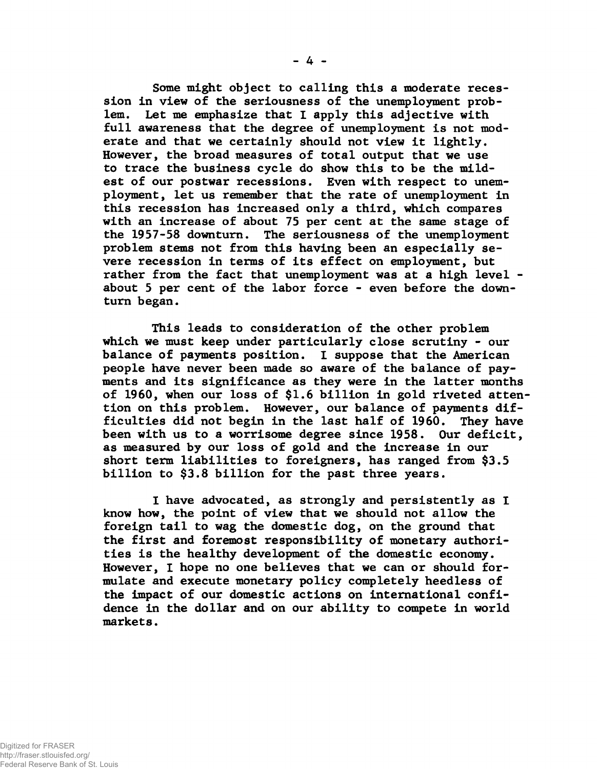**Some might object to calling this a moderate recession in view of the seriousness of the unemployment problem. Let me emphasize that I apply this adjective with full awareness that the degree of unemployment is not moderate and that we certainly should not view it lightly. However, the broad measures of total output that we use to trace the business cycle do show this to be the mildest of our postwar recessions. Even with respect to unemployment, let us remember that the rate of unemployment in this recession has increased only a third, which compares with an increase of about 75 per cent at the same stage of the 1957-58 downturn. The seriousness of the unemployment problem stems not from this having been an especially severe recession in terms of its effect on employment, but rather from the fact that unemployment was at a high level about 5 per cent of the labor force - even before the downturn began.**

**This leads to consideration of the other problem which we must keep under particularly close scrutiny - our balance of payments position. I suppose that the American people have never been made so aware of the balance of payments and its significance as they were in the latter months of 1960, when our loss of \$1.6 billion in gold riveted attention on this problem. However, our balance of payments difficulties did not begin in the last half of 1960. They have been with us to a worrisome degree since 1958. Our deficit, as measured by our loss of gold and the increase in our short term liabilities to foreigners, has ranged from \$3.5 billion to \$3.8 billion for the past three years.**

**1 have advocated, as strongly and persistently as I know how, the point of view that we should not allow the foreign tail to wag the domestic dog, on the ground that the first and foremost responsibility of monetary authorities is the healthy development of the domestic economy. However, I hope no one believes that we can or should formulate and execute monetary policy completely heedless of the impact of our domestic actions on international confidence in the dollar and on our ability to compete in world markets.**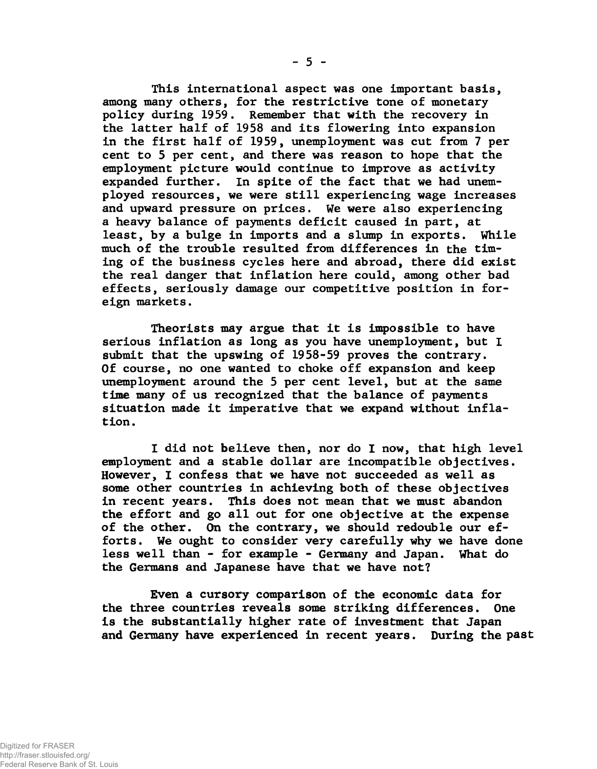**This international aspect was one important basis, among many others, for the restrictive tone of monetary policy during 1959. Remember that with the recovery in the latter half of 1958 and its flowering into expansion in the first half of 1959, unemployment was cut from 7 per cent to 5 per cent, and there was reason to hope that the employment picture would continue to improve as activity expanded further. In spite of the fact that we had unemployed resources, we were still experiencing wage increases and upward pressure on prices. We were also experiencing a heavy balance of payments deficit caused in part, at least, by a bulge in imports and a slump in exports. While much of the trouble resulted from differences in the timing of the business cycles here and abroad, there did exist the real danger that inflation here could, among other bad effects, seriously damage our competitive position in foreign markets.**

**Theorists may argue that it is impossible to have serious inflation as long as you have unemployment, but I submit that the upswing of 1958-59 proves the contrary. Of course, no one wanted to choke off expansion and keep unemployment around the 5 per cent level, but at the same time many of us recognized that the balance of payments situation made it imperative that we expand without inflation.**

**I did not believe then, nor do I now, that high level employment and a stable dollar are incompatible objectives. However, I confess that we have not succeeded as well as some other countries in achieving both of these objectives in recent years. This does not mean that we must abandon the effort and go all out for one objective at the expense of the other. On the contrary, we should redouble our efforts. We ought to consider very carefully why we have done less well than - for example - Germany and Japan. What do the Germans and Japanese have that we have not?**

**Even a cursory comparison of the economic data for the three countries reveals some striking differences. One is the substantially higher rate of investment that Japan and Germany have experienced in recent years. During the past**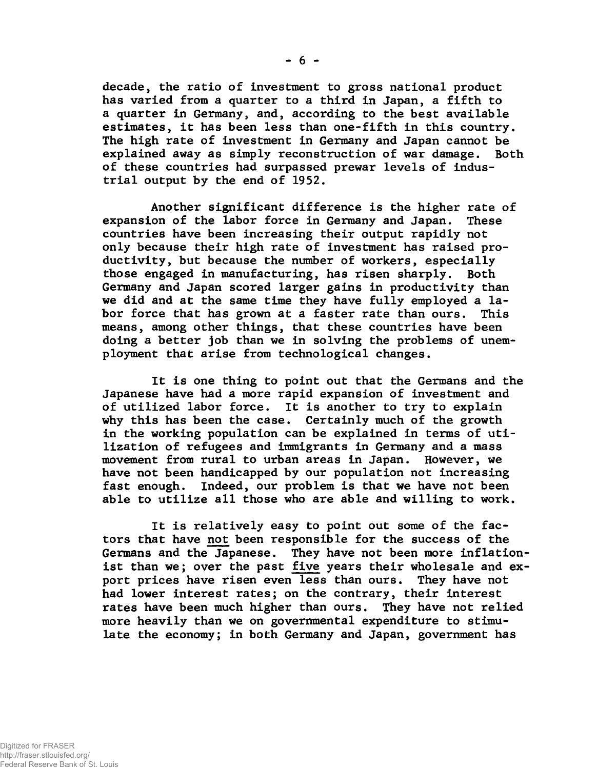**decade, the ratio of investment to gross national product has varied from a quarter to a third in Japan, a fifth to a quarter in Germany, and, according to the best available estimates, it has been less than one-fifth in this country. The high rate of investment in Germany and Japan cannot be explained away as simply reconstruction of war damage. Both of these countries had surpassed prewar levels of industrial output by the end of 1952.**

**Another significant difference is the higher rate of expansion of the labor force in Germany and Japan. These countries have been increasing their output rapidly not only because their high rate of investment has raised productivity, but because the number of workers, especially those engaged in manufacturing, has risen sharply. Both Germany and Japan scored larger gains in productivity than we did and at the same time they have fully employed a labor force that has grown at a faster rate than ours. This means, among other things, that these countries have been doing a better job than we in solving the problems of unemployment that arise from technological changes.**

**It is one thing to point out that the Germans and the Japanese have had a more rapid expansion of investment and of utilized labor force. It is another to try to explain why this has been the case. Certainly much of the growth in the working population can be explained in terms of utilization of refugees and immigrants in Germany and a mass movement from rural to urban areas in Japan. However, we have not been handicapped by our population not increasing fast enough. Indeed, our problem is that we have not been able to utilize all those who are able and willing to work.**

**It is relatively easy to point out some of the factors that have not been responsible for the success of the Germans and the Japanese. They have not been more inflationist than we; over the past five years their wholesale and export prices have risen even less than ours. They have not had lower interest rates; on the contrary, their interest rates have been much higher than ours. They have not relied more heavily than we on governmental expenditure to stimulate the economy; in both Germany and Japan, government has**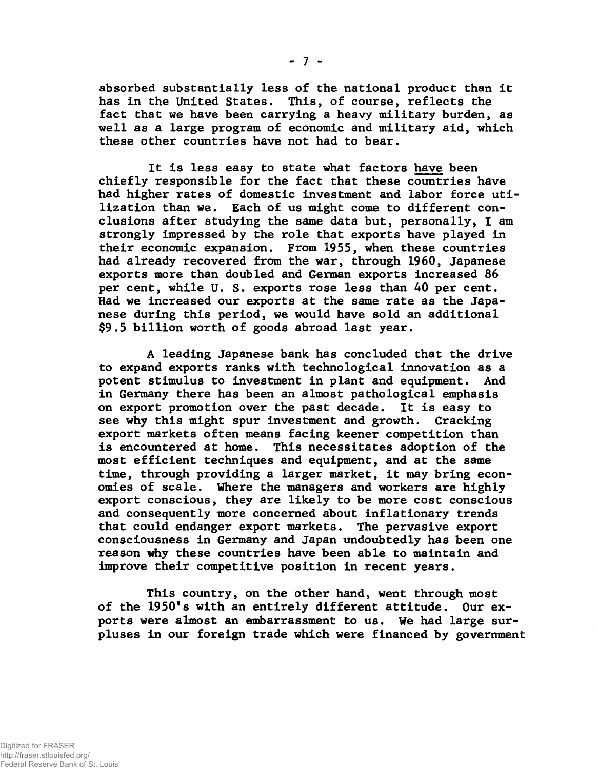**absorbed substantially less of the national product than it has in the United States. This, of course, reflects the fact that we have been carrying a heavy military burden, as well as a large program of economic and military aid, which these other countries have not had to bear.**

**It is less easy to state what factors have been chiefly responsible for the fact that these countries have had higher rates of domestic investment and labor force utilization than we. Each of us might come to different conclusions after studying the same data but, personally, I am strongly impressed by the role that exports have played in their economic expansion. From 1955, when these countries had already recovered from the war, through 1960, Japanese exports more than doubled and German exports increased 86 per cent, while U. S. exports rose less than 40 per cent. Had we increased our exports at the same rate as the Japanese during this period, we would have sold an additional \$9.5 billion worth of goods abroad last year.**

**A leading Japanese bank has concluded that the drive to expand exports ranks with technological innovation as a potent stimulus to investment in plant and equipment. And in Germany there has been an almost pathological emphasis on export promotion over the past decade. It is easy to see why this might spur investment and growth. Cracking export markets often means facing keener competition than is encountered at home. This necessitates adoption of the most efficient techniques and equipment, and at the same time, through providing a larger market, it may bring economies of scale. Where the managers and workers are highly export conscious, they are likely to be more cost conscious and consequently more concerned about inflationary trends that could endanger export markets. The pervasive export consciousness in Germany and Japan undoubtedly has been one reason why these countries have been able to maintain and improve their competitive position in recent years.**

**This country, on the other hand, went through most of the 1950's with an entirely different attitude. Our exports were almost an embarrassment to us. We had large surpluses in our foreign trade which were financed by government**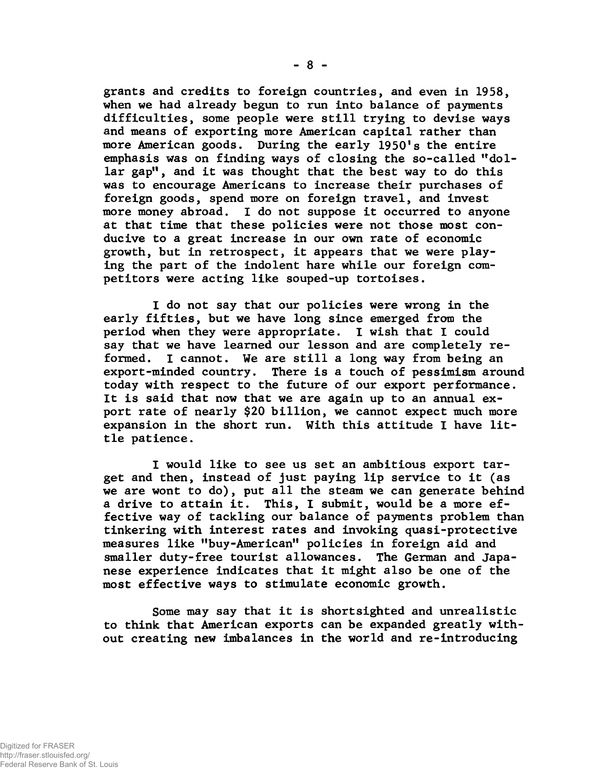**grants and credits to foreign countries, and even in 1958, when we had already begun to run into balance of payments difficulties, some people were still trying to devise ways and means of exporting more American capital rather than more American goods. During the early 1950's the entire emphasis was on finding ways of closing the so-called "dollar gap", and it was thought that the best way to do this was to encourage Americans to increase their purchases of foreign goods, spend more on foreign travel, and invest more money abroad. I do not suppose it occurred to anyone at that time that these policies were not those most conducive to a great increase in our own rate of economic growth, but in retrospect, it appears that we were playing the part of the indolent hare while our foreign competitors were acting like souped-up tortoises.**

**I do not say that our policies were wrong in the early fifties, but we have long since emerged from the period when they were appropriate. I wish that I could say that we have learned our lesson and are completely reformed. I cannot. We are still a long way from being an export-minded country. There is a touch of pessimism around today with respect to the future of our export performance. It is said that now that we are again up to an annual export rate of nearly \$20 billion, we cannot expect much more expansion in the short run. With this attitude I have little patience.**

**I would like to see us set an ambitious export target and then, instead of just paying lip service to it (as we are wont to do), put all the steam we can generate behind a drive to attain it. This, I submit, would be a more effective way of tackling our balance of payments problem than tinkering with interest rates and invoking quasi-protective measures like "buy-American" policies in foreign aid and smaller duty-free tourist allowances. The German and Japanese experience indicates that it might also be one of the most effective ways to stimulate economic growth.**

**Some may say that it is shortsighted and unrealistic to think that American exports can be expanded greatly without creating new imbalances in the world and re-introducing**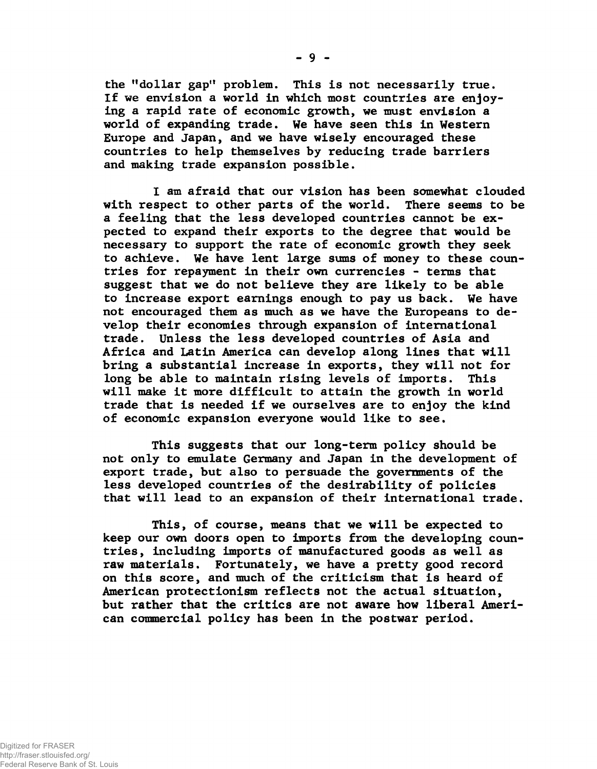**the "dollar gap" problem. This is not necessarily true. If we envision a world in which most countries are enjoying a rapid rate of economic growth, we must envision a world of expanding trade. We have seen this in Western Europe and Japan, and we have wisely encouraged these countries to help themselves by reducing trade barriers and making trade expansion possible.**

**I am afraid that our vision has been somewhat clouded with respect to other parts of the world. There seems to be a feeling that the less developed countries cannot be expected to expand their exports to the degree that would be necessary to support the rate of economic growth they seek to achieve. We have lent large sums of money to these countries for repayment in their own currencies - terms that suggest that we do not believe they are likely to be able to increase export earnings enough to pay us back. We have not encouraged them as much as we have the Europeans to develop their economies through expansion of international trade. Unless the less developed countries of Asia and Africa and Latin America can develop along lines that will bring a substantial increase in exports, they will not for long be able to maintain rising levels of imports. This will make it more difficult to attain the growth in world trade that is needed if we ourselves are to enjoy the kind of economic expansion everyone would like to see.**

**This suggests that our long-term policy should be not only to emulate Germany and Japan in the development of export trade, but also to persuade the governments of the less developed countries of the desirability of policies that will lead to an expansion of their international trade.**

**This, of course, means that we will be expected to keep our own doors open to imports from the developing countries, including imports of manufactured goods as well as raw materials. Fortunately, we have a pretty good record on this score, and much of the criticism that is heard of American protectionism reflects not the actual situation, but rather that the critics are not aware how liberal American commercial policy has been in the postwar period.**